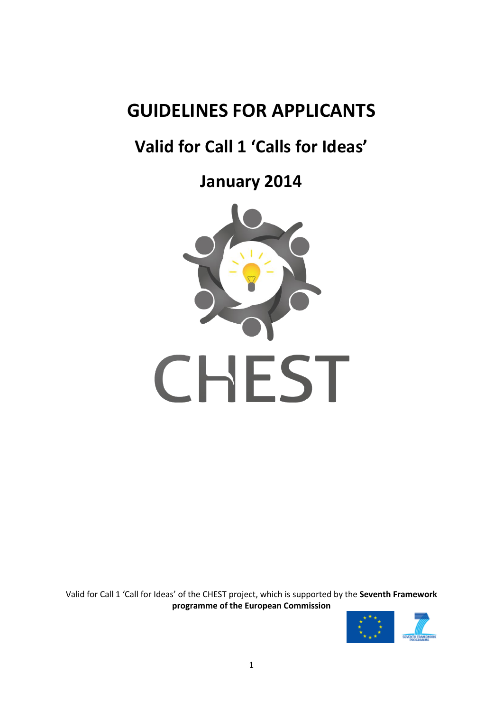# **GUIDELINES FOR APPLICANTS**

# **Valid for Call 1 'Calls for Ideas'**

**January 2014**



Valid for Call 1 'Call for Ideas' of the CHEST project, which is supported by the **Seventh Framework programme of the European Commission**

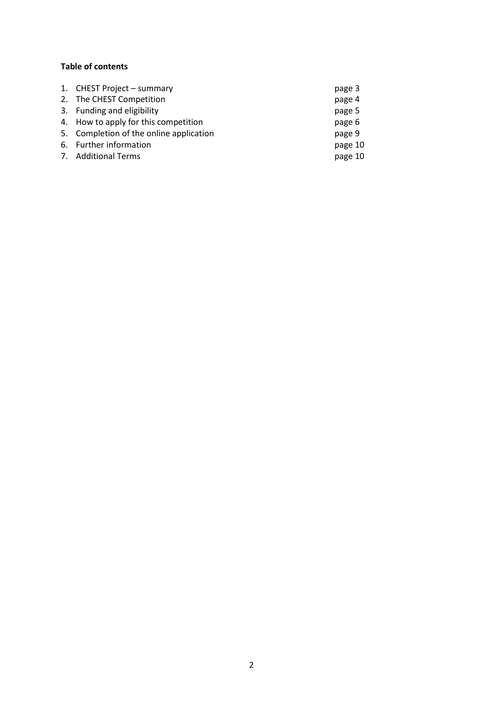# **Table of contents**

| 1. CHEST Project - summary              | page 3  |
|-----------------------------------------|---------|
| 2. The CHEST Competition                | page 4  |
| 3. Funding and eligibility              | page 5  |
| 4. How to apply for this competition    | page 6  |
| 5. Completion of the online application | page 9  |
| 6. Further information                  | page 10 |
| 7. Additional Terms                     | page 10 |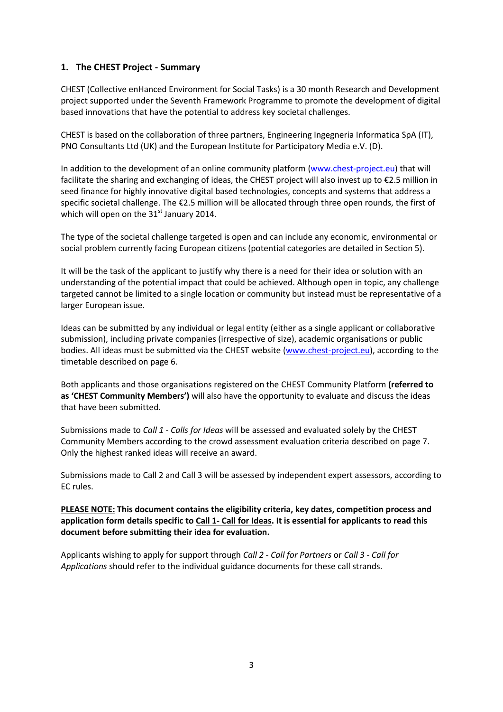# **1. The CHEST Project - Summary**

CHEST (Collective enHanced Environment for Social Tasks) is a 30 month Research and Development project supported under the Seventh Framework Programme to promote the development of digital based innovations that have the potential to address key societal challenges.

CHEST is based on the collaboration of three partners, Engineering Ingegneria Informatica SpA (IT), PNO Consultants Ltd (UK) and the European Institute for Participatory Media e.V. (D).

In addition to the development of an online community platform [\(www.chest-project.eu\)](http://www.chest-project.eu/) that will facilitate the sharing and exchanging of ideas, the CHEST project will also invest up to €2.5 million in seed finance for highly innovative digital based technologies, concepts and systems that address a specific societal challenge. The €2.5 million will be allocated through three open rounds, the first of which will open on the  $31<sup>st</sup>$  January 2014.

The type of the societal challenge targeted is open and can include any economic, environmental or social problem currently facing European citizens (potential categories are detailed in Section 5).

It will be the task of the applicant to justify why there is a need for their idea or solution with an understanding of the potential impact that could be achieved. Although open in topic, any challenge targeted cannot be limited to a single location or community but instead must be representative of a larger European issue.

Ideas can be submitted by any individual or legal entity (either as a single applicant or collaborative submission), including private companies (irrespective of size), academic organisations or public bodies. All ideas must be submitted via the CHEST website [\(www.chest-project.eu\)](http://www.chest-project.eu/), according to the timetable described on page 6.

Both applicants and those organisations registered on the CHEST Community Platform **(referred to as 'CHEST Community Members')** will also have the opportunity to evaluate and discuss the ideas that have been submitted.

Submissions made to *Call 1 - Calls for Ideas* will be assessed and evaluated solely by the CHEST Community Members according to the crowd assessment evaluation criteria described on page 7. Only the highest ranked ideas will receive an award.

Submissions made to Call 2 and Call 3 will be assessed by independent expert assessors, according to EC rules.

**PLEASE NOTE: This document contains the eligibility criteria, key dates, competition process and application form details specific to Call 1- Call for Ideas. It is essential for applicants to read this document before submitting their idea for evaluation.**

Applicants wishing to apply for support through *Call 2 - Call for Partners* or *Call 3 - Call for Applications* should refer to the individual guidance documents for these call strands.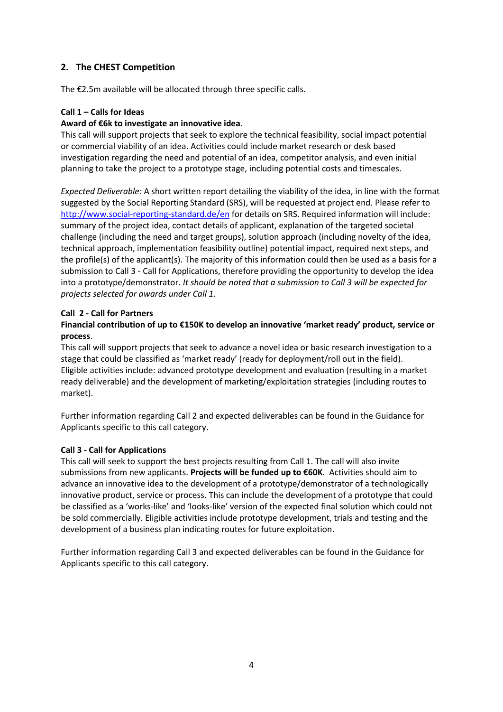# **2. The CHEST Competition**

The €2.5m available will be allocated through three specific calls.

## **Call 1 – Calls for Ideas**

#### **Award of €6k to investigate an innovative idea**.

This call will support projects that seek to explore the technical feasibility, social impact potential or commercial viability of an idea. Activities could include market research or desk based investigation regarding the need and potential of an idea, competitor analysis, and even initial planning to take the project to a prototype stage, including potential costs and timescales.

*Expected Deliverable:* A short written report detailing the viability of the idea, in line with the format suggested by the Social Reporting Standard (SRS), will be requested at project end. Please refer to <http://www.social-reporting-standard.de/en> for details on SRS. Required information will include: summary of the project idea, contact details of applicant, explanation of the targeted societal challenge (including the need and target groups), solution approach (including novelty of the idea, technical approach, implementation feasibility outline) potential impact, required next steps, and the profile(s) of the applicant(s). The majority of this information could then be used as a basis for a submission to Call 3 - Call for Applications, therefore providing the opportunity to develop the idea into a prototype/demonstrator. *It should be noted that a submission to Call 3 will be expected for projects selected for awards under Call 1*.

## **Call 2 - Call for Partners**

# **Financial contribution of up to €150K to develop an innovative 'market ready' product, service or process**.

This call will support projects that seek to advance a novel idea or basic research investigation to a stage that could be classified as 'market ready' (ready for deployment/roll out in the field). Eligible activities include: advanced prototype development and evaluation (resulting in a market ready deliverable) and the development of marketing/exploitation strategies (including routes to market).

Further information regarding Call 2 and expected deliverables can be found in the Guidance for Applicants specific to this call category.

## **Call 3 - Call for Applications**

This call will seek to support the best projects resulting from Call 1. The call will also invite submissions from new applicants. **Projects will be funded up to €60K**. Activities should aim to advance an innovative idea to the development of a prototype/demonstrator of a technologically innovative product, service or process. This can include the development of a prototype that could be classified as a 'works-like' and 'looks-like' version of the expected final solution which could not be sold commercially. Eligible activities include prototype development, trials and testing and the development of a business plan indicating routes for future exploitation.

Further information regarding Call 3 and expected deliverables can be found in the Guidance for Applicants specific to this call category.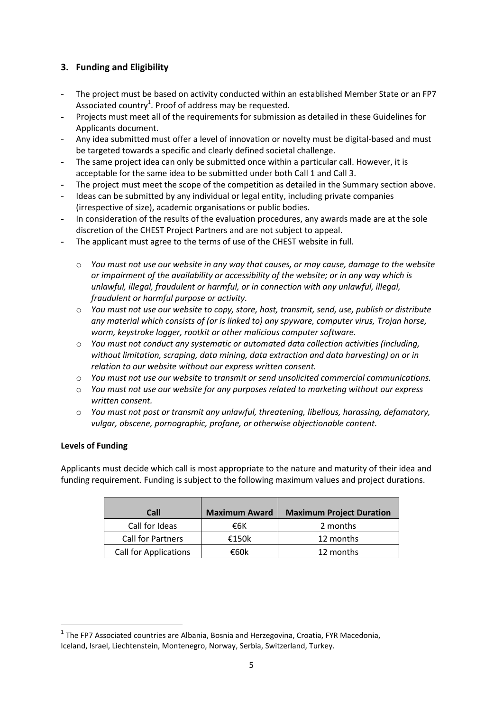# **3. Funding and Eligibility**

- The project must be based on activity conducted within an established Member State or an FP7 Associated country<sup>1</sup>. Proof of address may be requested.
- Projects must meet all of the requirements for submission as detailed in these Guidelines for Applicants document.
- Any idea submitted must offer a level of innovation or novelty must be digital-based and must be targeted towards a specific and clearly defined societal challenge.
- The same project idea can only be submitted once within a particular call. However, it is acceptable for the same idea to be submitted under both Call 1 and Call 3.
- The project must meet the scope of the competition as detailed in the Summary section above.
- Ideas can be submitted by any individual or legal entity, including private companies (irrespective of size), academic organisations or public bodies.
- In consideration of the results of the evaluation procedures, any awards made are at the sole discretion of the CHEST Project Partners and are not subject to appeal.
- The applicant must agree to the terms of use of the CHEST website in full.
	- o *You must not use our website in any way that causes, or may cause, damage to the website or impairment of the availability or accessibility of the website; or in any way which is unlawful, illegal, fraudulent or harmful, or in connection with any unlawful, illegal, fraudulent or harmful purpose or activity.*
	- o *You must not use our website to copy, store, host, transmit, send, use, publish or distribute any material which consists of (or is linked to) any spyware, computer virus, Trojan horse, worm, keystroke logger, rootkit or other malicious computer software.*
	- o *You must not conduct any systematic or automated data collection activities (including, without limitation, scraping, data mining, data extraction and data harvesting) on or in relation to our website without our express written consent.*
	- o *You must not use our website to transmit or send unsolicited commercial communications.*
	- o *You must not use our website for any purposes related to marketing without our express written consent.*
	- o *You must not post or transmit any unlawful, threatening, libellous, harassing, defamatory, vulgar, obscene, pornographic, profane, or otherwise objectionable content.*

## **Levels of Funding**

**.** 

Applicants must decide which call is most appropriate to the nature and maturity of their idea and funding requirement. Funding is subject to the following maximum values and project durations.

| Call                         | <b>Maximum Award</b> | <b>Maximum Project Duration</b> |
|------------------------------|----------------------|---------------------------------|
| Call for Ideas               | €6К                  | 2 months                        |
| <b>Call for Partners</b>     | €150 $k$             | 12 months                       |
| <b>Call for Applications</b> | €60k                 | 12 months                       |

 $<sup>1</sup>$  The FP7 Associated countries are Albania, Bosnia and Herzegovina, Croatia, FYR Macedonia,</sup> Iceland, Israel, Liechtenstein, Montenegro, Norway, Serbia, Switzerland, Turkey.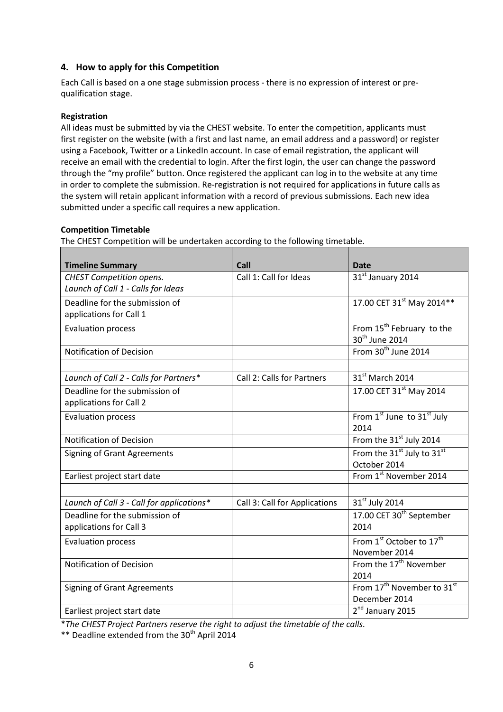# **4. How to apply for this Competition**

Each Call is based on a one stage submission process - there is no expression of interest or prequalification stage.

#### **Registration**

All ideas must be submitted by via the CHEST website. To enter the competition, applicants must first register on the website (with a first and last name, an email address and a password) or register using a Facebook, Twitter or a LinkedIn account. In case of email registration, the applicant will receive an email with the credential to login. After the first login, the user can change the password through the "my profile" button. Once registered the applicant can log in to the website at any time in order to complete the submission. Re-registration is not required for applications in future calls as the system will retain applicant information with a record of previous submissions. Each new idea submitted under a specific call requires a new application.

#### **Competition Timetable**

The CHEST Competition will be undertaken according to the following timetable.

| <b>Timeline Summary</b>                   | Call                          | <b>Date</b>                                        |
|-------------------------------------------|-------------------------------|----------------------------------------------------|
| CHEST Competition opens.                  | Call 1: Call for Ideas        | 31st January 2014                                  |
| Launch of Call 1 - Calls for Ideas        |                               |                                                    |
| Deadline for the submission of            |                               | 17.00 CET 31st May 2014**                          |
| applications for Call 1                   |                               |                                                    |
| <b>Evaluation process</b>                 |                               | From 15 <sup>th</sup> February to the              |
|                                           |                               | 30 <sup>th</sup> June 2014                         |
| <b>Notification of Decision</b>           |                               | From 30 <sup>th</sup> June 2014                    |
|                                           |                               |                                                    |
| Launch of Call 2 - Calls for Partners*    | Call 2: Calls for Partners    | 31 <sup>st</sup> March 2014                        |
| Deadline for the submission of            |                               | 17.00 CET 31 <sup>st</sup> May 2014                |
| applications for Call 2                   |                               |                                                    |
| <b>Evaluation process</b>                 |                               | From 1st June to 31st July                         |
|                                           |                               | 2014                                               |
| <b>Notification of Decision</b>           |                               | From the 31 <sup>st</sup> July 2014                |
| <b>Signing of Grant Agreements</b>        |                               | From the 31 <sup>st</sup> July to 31 <sup>st</sup> |
|                                           |                               | October 2014                                       |
| Earliest project start date               |                               | From 1st November 2014                             |
|                                           |                               |                                                    |
| Launch of Call 3 - Call for applications* | Call 3: Call for Applications | 31 <sup>st</sup> July 2014                         |
| Deadline for the submission of            |                               | 17.00 CET 30 <sup>th</sup> September               |
| applications for Call 3                   |                               | 2014                                               |
| <b>Evaluation process</b>                 |                               | From 1 <sup>st</sup> October to 17 <sup>th</sup>   |
|                                           |                               | November 2014                                      |
| <b>Notification of Decision</b>           |                               | From the 17 <sup>th</sup> November                 |
|                                           |                               | 2014                                               |
| <b>Signing of Grant Agreements</b>        |                               | From 17 <sup>th</sup> November to 31 <sup>st</sup> |
|                                           |                               | December 2014                                      |
| Earliest project start date               |                               | 2 <sup>nd</sup> January 2015                       |

\**The CHEST Project Partners reserve the right to adjust the timetable of the calls.*

\*\* Deadline extended from the 30<sup>th</sup> April 2014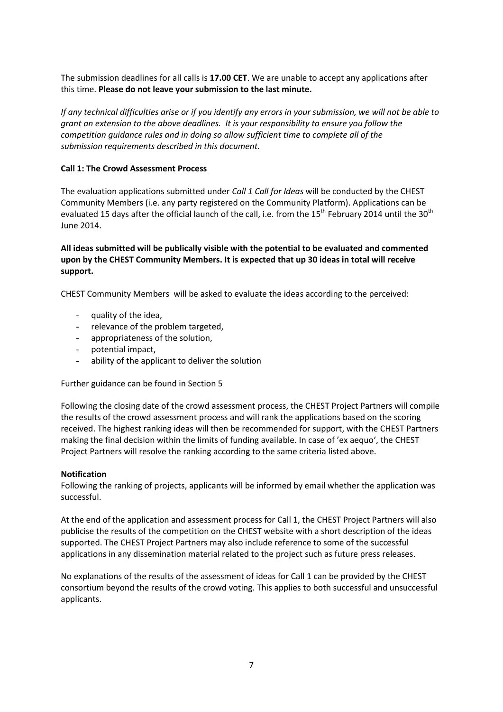The submission deadlines for all calls is **17.00 CET**. We are unable to accept any applications after this time. **Please do not leave your submission to the last minute.**

*If any technical difficulties arise or if you identify any errors in your submission, we will not be able to grant an extension to the above deadlines. It is your responsibility to ensure you follow the competition guidance rules and in doing so allow sufficient time to complete all of the submission requirements described in this document.*

#### **Call 1: The Crowd Assessment Process**

The evaluation applications submitted under *Call 1 Call for Ideas* will be conducted by the CHEST Community Members (i.e. any party registered on the Community Platform). Applications can be evaluated 15 days after the official launch of the call, i.e. from the 15<sup>th</sup> February 2014 until the 30<sup>th</sup> June 2014.

### **All ideas submitted will be publically visible with the potential to be evaluated and commented upon by the CHEST Community Members. It is expected that up 30 ideas in total will receive support.**

CHEST Community Members will be asked to evaluate the ideas according to the perceived:

- quality of the idea,
- relevance of the problem targeted,
- appropriateness of the solution,
- potential impact,
- ability of the applicant to deliver the solution

Further guidance can be found in Section 5

Following the closing date of the crowd assessment process, the CHEST Project Partners will compile the results of the crowd assessment process and will rank the applications based on the scoring received. The highest ranking ideas will then be recommended for support, with the CHEST Partners making the final decision within the limits of funding available. In case of 'ex aequo', the CHEST Project Partners will resolve the ranking according to the same criteria listed above.

#### **Notification**

Following the ranking of projects, applicants will be informed by email whether the application was successful.

At the end of the application and assessment process for Call 1, the CHEST Project Partners will also publicise the results of the competition on the CHEST website with a short description of the ideas supported. The CHEST Project Partners may also include reference to some of the successful applications in any dissemination material related to the project such as future press releases.

No explanations of the results of the assessment of ideas for Call 1 can be provided by the CHEST consortium beyond the results of the crowd voting. This applies to both successful and unsuccessful applicants.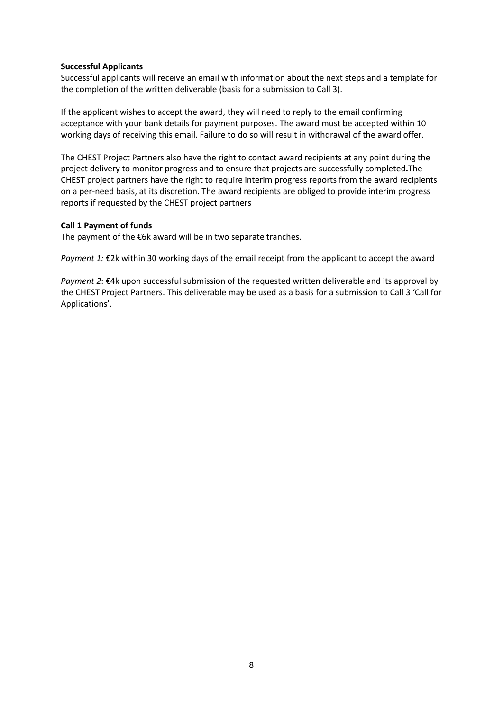#### **Successful Applicants**

Successful applicants will receive an email with information about the next steps and a template for the completion of the written deliverable (basis for a submission to Call 3).

If the applicant wishes to accept the award, they will need to reply to the email confirming acceptance with your bank details for payment purposes. The award must be accepted within 10 working days of receiving this email. Failure to do so will result in withdrawal of the award offer.

The CHEST Project Partners also have the right to contact award recipients at any point during the project delivery to monitor progress and to ensure that projects are successfully completed**.**The CHEST project partners have the right to require interim progress reports from the award recipients on a per-need basis, at its discretion. The award recipients are obliged to provide interim progress reports if requested by the CHEST project partners

#### **Call 1 Payment of funds**

The payment of the  $\epsilon$ 6k award will be in two separate tranches.

*Payment 1:* €2k within 30 working days of the email receipt from the applicant to accept the award

*Payment 2*: €4k upon successful submission of the requested written deliverable and its approval by the CHEST Project Partners. This deliverable may be used as a basis for a submission to Call 3 'Call for Applications'.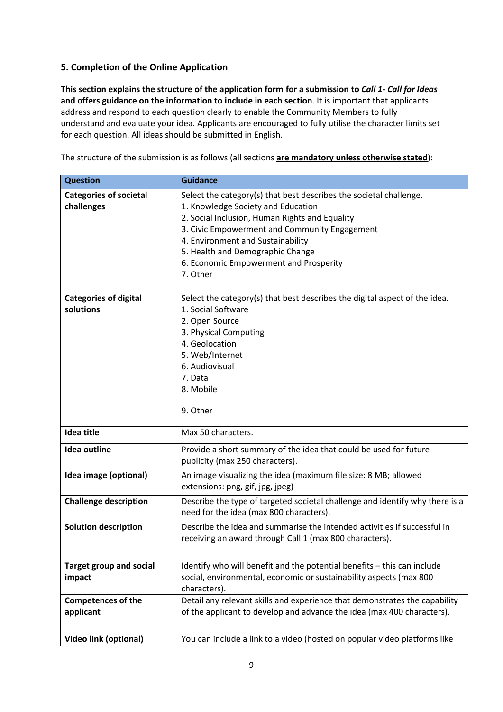# **5. Completion of the Online Application**

**This section explains the structure of the application form for a submission to** *Call 1- Call for Ideas* **and offers guidance on the information to include in each section**. It is important that applicants address and respond to each question clearly to enable the Community Members to fully understand and evaluate your idea. Applicants are encouraged to fully utilise the character limits set for each question. All ideas should be submitted in English.

The structure of the submission is as follows (all sections **are mandatory unless otherwise stated**):

| <b>Question</b>                             | <b>Guidance</b>                                                                                                                                                                                                                                                                                                                            |
|---------------------------------------------|--------------------------------------------------------------------------------------------------------------------------------------------------------------------------------------------------------------------------------------------------------------------------------------------------------------------------------------------|
| <b>Categories of societal</b><br>challenges | Select the category(s) that best describes the societal challenge.<br>1. Knowledge Society and Education<br>2. Social Inclusion, Human Rights and Equality<br>3. Civic Empowerment and Community Engagement<br>4. Environment and Sustainability<br>5. Health and Demographic Change<br>6. Economic Empowerment and Prosperity<br>7. Other |
| <b>Categories of digital</b><br>solutions   | Select the category(s) that best describes the digital aspect of the idea.<br>1. Social Software<br>2. Open Source<br>3. Physical Computing<br>4. Geolocation<br>5. Web/Internet<br>6. Audiovisual<br>7. Data<br>8. Mobile<br>9. Other                                                                                                     |
| <b>Idea title</b>                           | Max 50 characters.                                                                                                                                                                                                                                                                                                                         |
| <b>Idea outline</b>                         | Provide a short summary of the idea that could be used for future<br>publicity (max 250 characters).                                                                                                                                                                                                                                       |
| Idea image (optional)                       | An image visualizing the idea (maximum file size: 8 MB; allowed<br>extensions: png, gif, jpg, jpeg)                                                                                                                                                                                                                                        |
| <b>Challenge description</b>                | Describe the type of targeted societal challenge and identify why there is a<br>need for the idea (max 800 characters).                                                                                                                                                                                                                    |
| <b>Solution description</b>                 | Describe the idea and summarise the intended activities if successful in<br>receiving an award through Call 1 (max 800 characters).                                                                                                                                                                                                        |
| <b>Target group and social</b><br>impact    | Identify who will benefit and the potential benefits - this can include<br>social, environmental, economic or sustainability aspects (max 800<br>characters).                                                                                                                                                                              |
| <b>Competences of the</b><br>applicant      | Detail any relevant skills and experience that demonstrates the capability<br>of the applicant to develop and advance the idea (max 400 characters).                                                                                                                                                                                       |
| <b>Video link (optional)</b>                | You can include a link to a video (hosted on popular video platforms like                                                                                                                                                                                                                                                                  |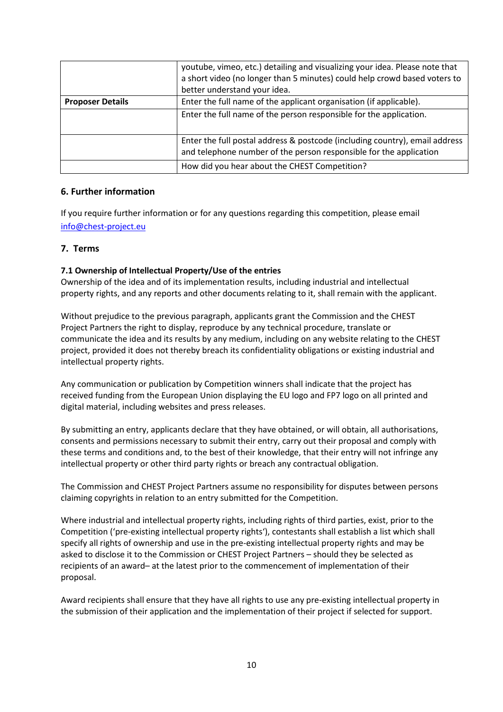|                         | youtube, vimeo, etc.) detailing and visualizing your idea. Please note that<br>a short video (no longer than 5 minutes) could help crowd based voters to<br>better understand your idea. |
|-------------------------|------------------------------------------------------------------------------------------------------------------------------------------------------------------------------------------|
| <b>Proposer Details</b> | Enter the full name of the applicant organisation (if applicable).                                                                                                                       |
|                         | Enter the full name of the person responsible for the application.                                                                                                                       |
|                         | Enter the full postal address & postcode (including country), email address<br>and telephone number of the person responsible for the application                                        |
|                         | How did you hear about the CHEST Competition?                                                                                                                                            |

## **6. Further information**

If you require further information or for any questions regarding this competition, please email [info@chest-project.eu](mailto:info@chest-project.eu)

#### **7. Terms**

#### **7.1 Ownership of Intellectual Property/Use of the entries**

Ownership of the idea and of its implementation results, including industrial and intellectual property rights, and any reports and other documents relating to it, shall remain with the applicant.

Without prejudice to the previous paragraph, applicants grant the Commission and the CHEST Project Partners the right to display, reproduce by any technical procedure, translate or communicate the idea and its results by any medium, including on any website relating to the CHEST project, provided it does not thereby breach its confidentiality obligations or existing industrial and intellectual property rights.

Any communication or publication by Competition winners shall indicate that the project has received funding from the European Union displaying the EU logo and FP7 logo on all printed and digital material, including websites and press releases.

By submitting an entry, applicants declare that they have obtained, or will obtain, all authorisations, consents and permissions necessary to submit their entry, carry out their proposal and comply with these terms and conditions and, to the best of their knowledge, that their entry will not infringe any intellectual property or other third party rights or breach any contractual obligation.

The Commission and CHEST Project Partners assume no responsibility for disputes between persons claiming copyrights in relation to an entry submitted for the Competition.

Where industrial and intellectual property rights, including rights of third parties, exist, prior to the Competition ('pre-existing intellectual property rights'), contestants shall establish a list which shall specify all rights of ownership and use in the pre-existing intellectual property rights and may be asked to disclose it to the Commission or CHEST Project Partners – should they be selected as recipients of an award– at the latest prior to the commencement of implementation of their proposal.

Award recipients shall ensure that they have all rights to use any pre-existing intellectual property in the submission of their application and the implementation of their project if selected for support.